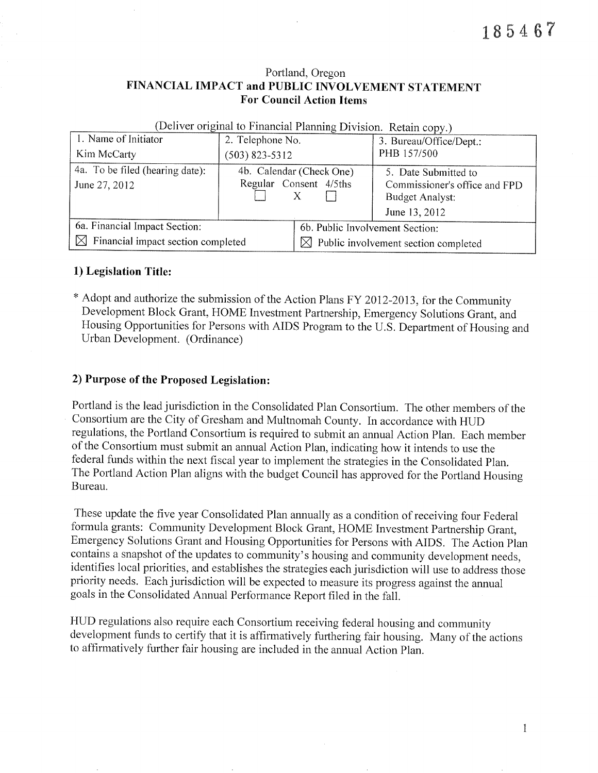#### Portland, Oregon FINANCIAL IMPACT and PUBLIC INVOLVEMENT STATEMENT **For Council Action Items**

| 1. Name of Initiator                              | 2. Telephone No.         |                                                  | 3. Bureau/Office/Dept.:       |  |
|---------------------------------------------------|--------------------------|--------------------------------------------------|-------------------------------|--|
| Kim McCarty                                       | $(503)$ 823-5312         |                                                  | PHB 157/500                   |  |
| 4a. To be filed (hearing date):                   | 4b. Calendar (Check One) |                                                  | 5. Date Submitted to          |  |
| June 27, 2012                                     | Regular Consent 4/5ths   |                                                  | Commissioner's office and FPD |  |
|                                                   |                          |                                                  | <b>Budget Analyst:</b>        |  |
|                                                   |                          |                                                  | June 13, 2012                 |  |
| 6a. Financial Impact Section:                     |                          | 6b. Public Involvement Section:                  |                               |  |
| $\boxtimes$<br>Financial impact section completed |                          | $\boxtimes$ Public involvement section completed |                               |  |

(Deliver original to Financial Planning Division Retain conv.)

#### 1) Legislation Title:

\* Adopt and authorize the submission of the Action Plans FY 2012-2013, for the Community Development Block Grant, HOME Investment Partnership, Emergency Solutions Grant, and Housing Opportunities for Persons with AIDS Program to the U.S. Department of Housing and Urban Development. (Ordinance)

#### 2) Purpose of the Proposed Legislation:

Portland is the lead jurisdiction in the Consolidated Plan Consortium. The other members of the Consortium are the City of Gresham and Multnomah County. In accordance with HUD regulations, the Portland Consortium is required to submit an annual Action Plan. Each member of the Consortium must submit an annual Action Plan, indicating how it intends to use the federal funds within the next fiscal year to implement the strategies in the Consolidated Plan. The Portland Action Plan aligns with the budget Council has approved for the Portland Housing Bureau.

These update the five year Consolidated Plan annually as a condition of receiving four Federal formula grants: Community Development Block Grant, HOME Investment Partnership Grant, Emergency Solutions Grant and Housing Opportunities for Persons with AIDS. The Action Plan contains a snapshot of the updates to community's housing and community development needs, identifies local priorities, and establishes the strategies each jurisdiction will use to address those priority needs. Each jurisdiction will be expected to measure its progress against the annual goals in the Consolidated Annual Performance Report filed in the fall.

HUD regulations also require each Consortium receiving federal housing and community development funds to certify that it is affirmatively furthering fair housing. Many of the actions to affirmatively further fair housing are included in the annual Action Plan.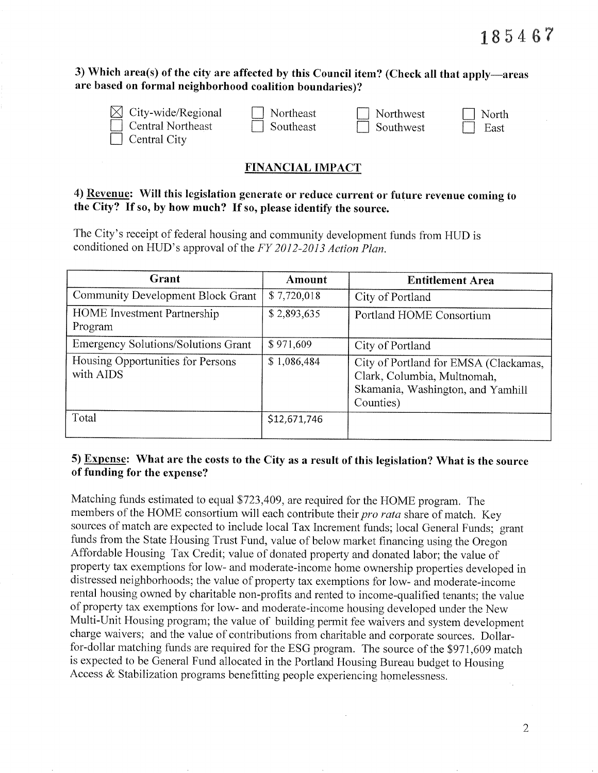### 3) Which area(s) of the city are affected by this Council item? (Check all that apply—areas are based on formal neighborhood coalition boundaries)?

City-wide/Regional Central Northeast

Central City

Northeast Southeast Northwest Southwest North

East

# **FINANCIAL IMPACT**

# 4) Revenue: Will this legislation generate or reduce current or future revenue coming to the City? If so, by how much? If so, please identify the source.

The City's receipt of federal housing and community development funds from HUD is conditioned on HUD's approval of the FY 2012-2013 Action Plan.

| Grant                                          | Amount       | <b>Entitlement Area</b>                                                                                                |
|------------------------------------------------|--------------|------------------------------------------------------------------------------------------------------------------------|
| Community Development Block Grant              | \$7,720,018  | City of Portland                                                                                                       |
| <b>HOME</b> Investment Partnership<br>Program  | \$2,893,635  | Portland HOME Consortium                                                                                               |
| <b>Emergency Solutions/Solutions Grant</b>     | \$971,609    | City of Portland                                                                                                       |
| Housing Opportunities for Persons<br>with AIDS | \$1,086,484  | City of Portland for EMSA (Clackamas,<br>Clark, Columbia, Multnomah,<br>Skamania, Washington, and Yamhill<br>Counties) |
| Total                                          | \$12,671,746 |                                                                                                                        |

### 5) Expense: What are the costs to the City as a result of this legislation? What is the source of funding for the expense?

Matching funds estimated to equal \$723,409, are required for the HOME program. The members of the HOME consortium will each contribute their pro rata share of match. Key sources of match are expected to include local Tax Increment funds; local General Funds; grant funds from the State Housing Trust Fund, value of below market financing using the Oregon Affordable Housing Tax Credit; value of donated property and donated labor; the value of property tax exemptions for low- and moderate-income home ownership properties developed in distressed neighborhoods; the value of property tax exemptions for low- and moderate-income rental housing owned by charitable non-profits and rented to income-qualified tenants; the value of property tax exemptions for low- and moderate-income housing developed under the New Multi-Unit Housing program; the value of building permit fee waivers and system development charge waivers; and the value of contributions from charitable and corporate sources. Dollarfor-dollar matching funds are required for the ESG program. The source of the \$971,609 match is expected to be General Fund allocated in the Portland Housing Bureau budget to Housing Access  $\&$  Stabilization programs benefitting people experiencing homelessness.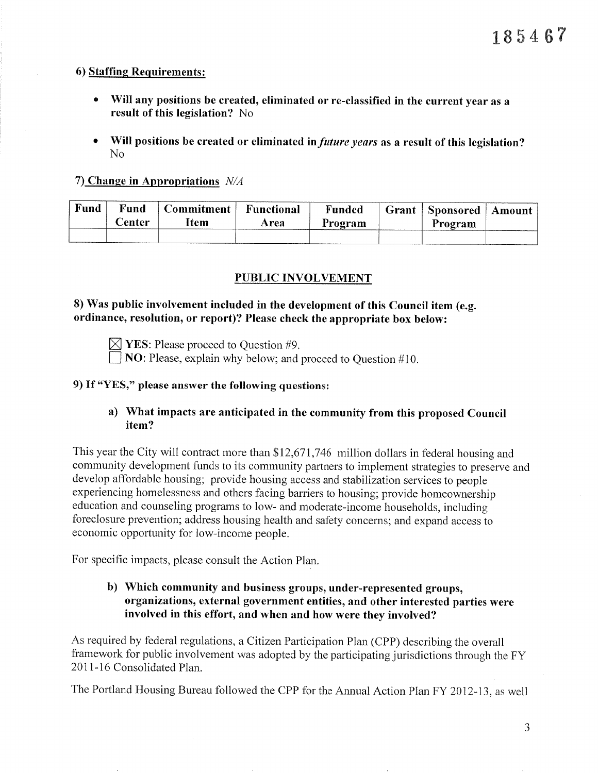### 6) Staffing Requirements:

- Will any positions be created, eliminated or re-classified in the current year as a result of this legislation? No
- Will positions be created or eliminated in *future years* as a result of this legislation?  $No$

# 7) Change in Appropriations  $N/A$

| Fund | Fund<br><b>Center</b> | Commitment  <br>ltem | <b>Functional</b><br>Area | Funded<br>Program | Grant   Sponsored  <br>Program | ' Amount |
|------|-----------------------|----------------------|---------------------------|-------------------|--------------------------------|----------|
|      |                       |                      |                           |                   |                                |          |

# **PUBLIC INVOLVEMENT**

# 8) Was public involvement included in the development of this Council item (e.g. ordinance, resolution, or report)? Please check the appropriate box below:

 $\boxtimes$  YES: Please proceed to Ouestion #9.

 $\Box$  NO: Please, explain why below; and proceed to Question #10.

# 9) If "YES," please answer the following questions:

# a) What impacts are anticipated in the community from this proposed Council item?

This year the City will contract more than \$12,671,746 million dollars in federal housing and community development funds to its community partners to implement strategies to preserve and develop affordable housing; provide housing access and stabilization services to people experiencing homelessness and others facing barriers to housing; provide homeownership education and counseling programs to low- and moderate-income households, including foreclosure prevention; address housing health and safety concerns; and expand access to economic opportunity for low-income people.

For specific impacts, please consult the Action Plan.

# b) Which community and business groups, under-represented groups, organizations, external government entities, and other interested parties were involved in this effort, and when and how were they involved?

As required by federal regulations, a Citizen Participation Plan (CPP) describing the overall framework for public involvement was adopted by the participating jurisdictions through the FY 2011-16 Consolidated Plan.

The Portland Housing Bureau followed the CPP for the Annual Action Plan FY 2012-13, as well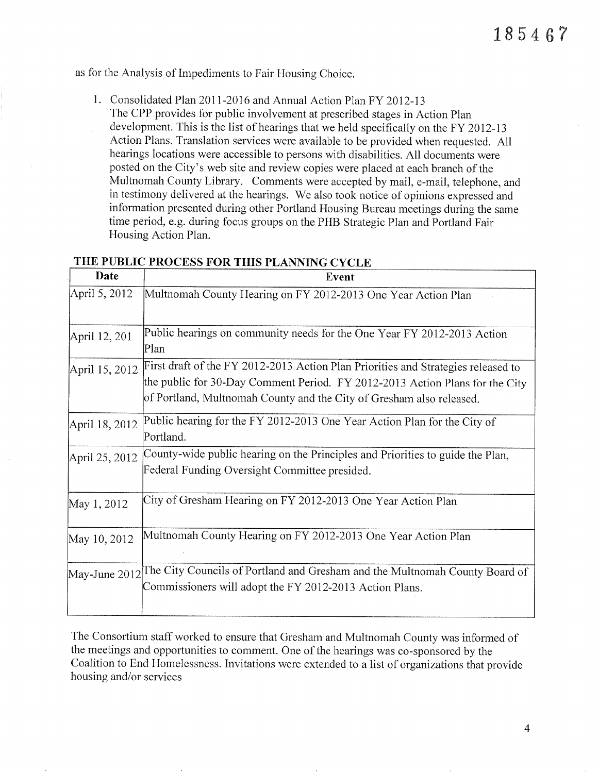as for the Analysis of Impediments to Fair Housing Choice.

- 1. Consolidated Plan 2011-2016 and Annual Action Plan FY 2012-13
	- The CPP provides for public involvement at prescribed stages in Action Plan development. This is the list of hearings that we held specifically on the FY 2012-13 Action Plans. Translation services were available to be provided when requested. All hearings locations were accessible to persons with disabilities. All documents were posted on the City's web site and review copies were placed at each branch of the Multnomah County Library. Comments were accepted by mail, e-mail, telephone, and in testimony delivered at the hearings. We also took notice of opinions expressed and information presented during other Portland Housing Bureau meetings during the same time period, e.g. during focus groups on the PHB Strategic Plan and Portland Fair Housing Action Plan.

| Date           | Event                                                                                                                                                                                                                                     |  |  |  |
|----------------|-------------------------------------------------------------------------------------------------------------------------------------------------------------------------------------------------------------------------------------------|--|--|--|
| April 5, 2012  | Multnomah County Hearing on FY 2012-2013 One Year Action Plan                                                                                                                                                                             |  |  |  |
| April 12, 201  | Public hearings on community needs for the One Year FY 2012-2013 Action<br>Plan                                                                                                                                                           |  |  |  |
| April 15, 2012 | First draft of the FY 2012-2013 Action Plan Priorities and Strategies released to<br>the public for 30-Day Comment Period. FY 2012-2013 Action Plans for the City<br>of Portland, Multnomah County and the City of Gresham also released. |  |  |  |
| April 18, 2012 | Public hearing for the FY 2012-2013 One Year Action Plan for the City of<br>Portland.                                                                                                                                                     |  |  |  |
| April 25, 2012 | County-wide public hearing on the Principles and Priorities to guide the Plan,<br>Federal Funding Oversight Committee presided.                                                                                                           |  |  |  |
| May 1, 2012    | City of Gresham Hearing on FY 2012-2013 One Year Action Plan                                                                                                                                                                              |  |  |  |
| May 10, 2012   | Multnomah County Hearing on FY 2012-2013 One Year Action Plan                                                                                                                                                                             |  |  |  |
| May-June 2012  | The City Councils of Portland and Gresham and the Multnomah County Board of<br>Commissioners will adopt the FY 2012-2013 Action Plans.                                                                                                    |  |  |  |

## THE PUBLIC PROCESS FOR THIS PLANNING CYCLE

The Consortium staff worked to ensure that Gresham and Multnomah County was informed of the meetings and opportunities to comment. One of the hearings was co-sponsored by the Coalition to End Homelessness. Invitations were extended to a list of organizations that provide housing and/or services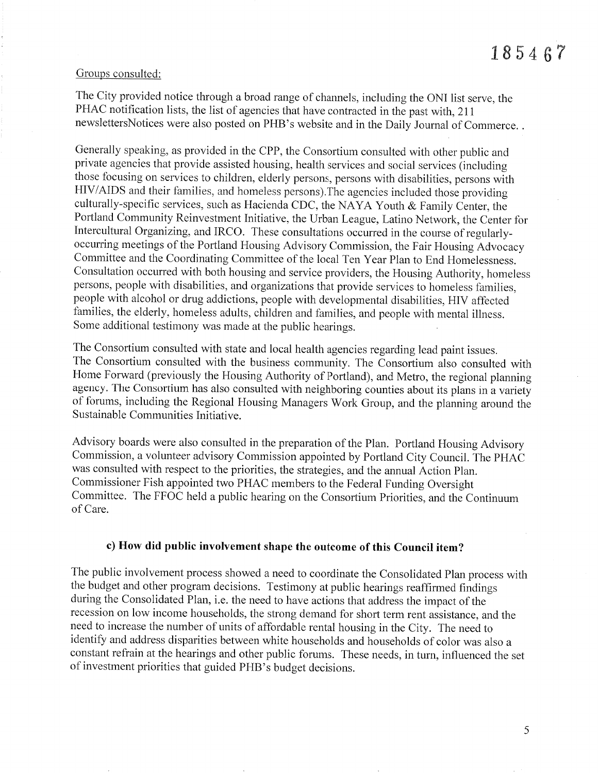#### Groups consulted:

The City provided notice through a broad range of channels, including the ONI list serve, the PHAC notification lists, the list of agencies that have contracted in the past with, 211 newslettersNotices were also posted on PHB's website and in the Daily Journal of Commerce...

Generally speaking, as provided in the CPP, the Consortium consulted with other public and private agencies that provide assisted housing, health services and social services (including those focusing on services to children, elderly persons, persons with disabilities, persons with HIV/AIDS and their families, and homeless persons). The agencies included those providing culturally-specific services, such as Hacienda CDC, the NAYA Youth & Family Center, the Portland Community Reinvestment Initiative, the Urban League, Latino Network, the Center for Intercultural Organizing, and IRCO. These consultations occurred in the course of regularlyoccurring meetings of the Portland Housing Advisory Commission, the Fair Housing Advocacy Committee and the Coordinating Committee of the local Ten Year Plan to End Homelessness. Consultation occurred with both housing and service providers, the Housing Authority, homeless persons, people with disabilities, and organizations that provide services to homeless families. people with alcohol or drug addictions, people with developmental disabilities, HIV affected families, the elderly, homeless adults, children and families, and people with mental illness. Some additional testimony was made at the public hearings.

The Consortium consulted with state and local health agencies regarding lead paint issues. The Consortium consulted with the business community. The Consortium also consulted with Home Forward (previously the Housing Authority of Portland), and Metro, the regional planning agency. The Consortium has also consulted with neighboring counties about its plans in a variety of forums, including the Regional Housing Managers Work Group, and the planning around the Sustainable Communities Initiative.

Advisory boards were also consulted in the preparation of the Plan. Portland Housing Advisory Commission, a volunteer advisory Commission appointed by Portland City Council. The PHAC was consulted with respect to the priorities, the strategies, and the annual Action Plan. Commissioner Fish appointed two PHAC members to the Federal Funding Oversight Committee. The FFOC held a public hearing on the Consortium Priorities, and the Continuum of Care.

#### c) How did public involvement shape the outcome of this Council item?

The public involvement process showed a need to coordinate the Consolidated Plan process with the budget and other program decisions. Testimony at public hearings reaffirmed findings during the Consolidated Plan, i.e. the need to have actions that address the impact of the recession on low income households, the strong demand for short term rent assistance, and the need to increase the number of units of affordable rental housing in the City. The need to identify and address disparities between white households and households of color was also a constant refrain at the hearings and other public forums. These needs, in turn, influenced the set of investment priorities that guided PHB's budget decisions.